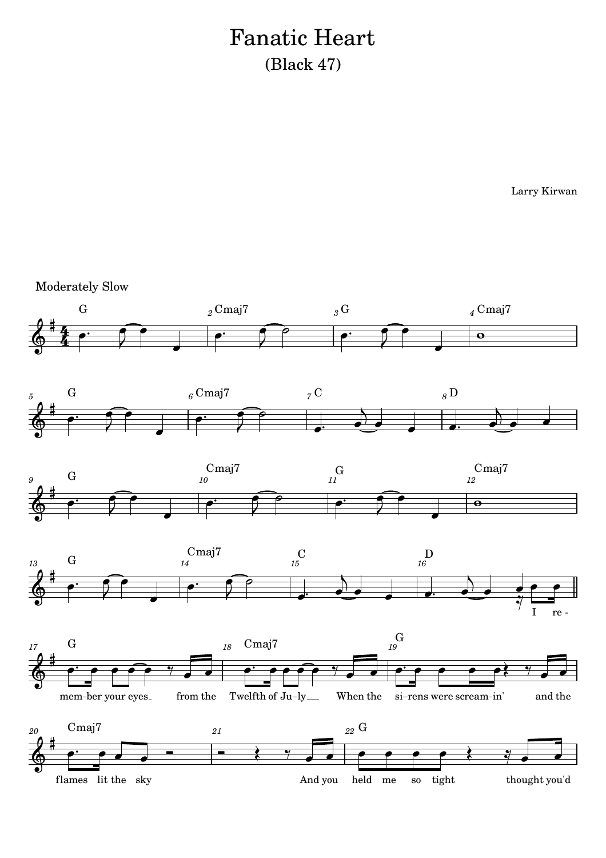#### (Black 47) Fanatic Heart

Larry Kirwan

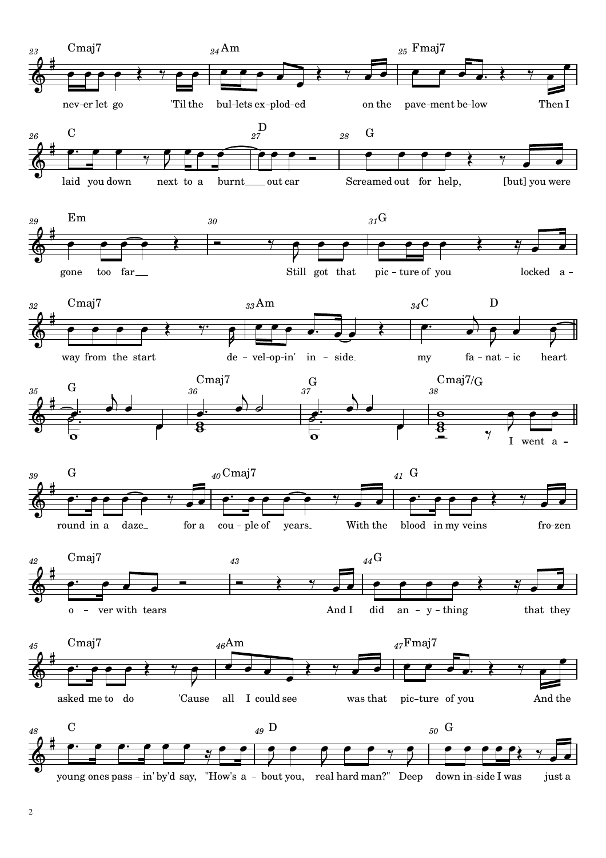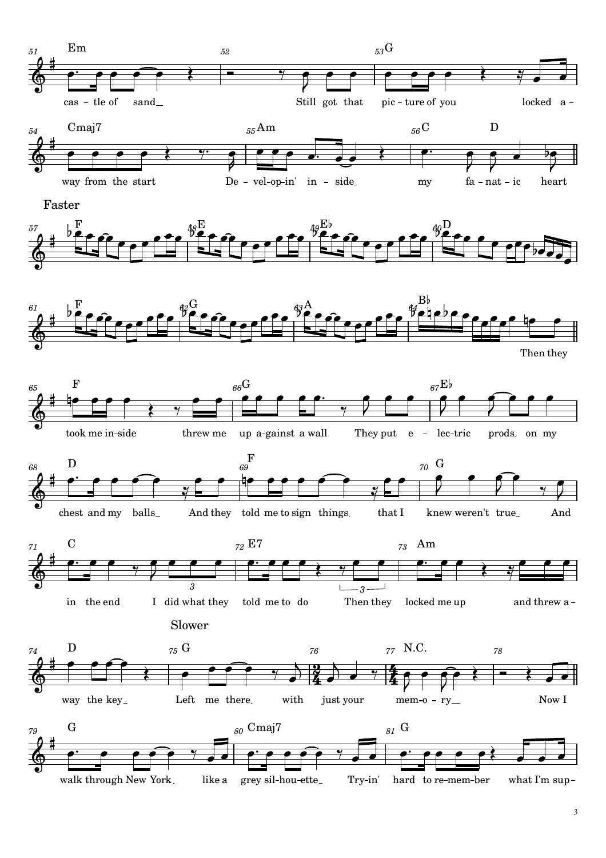

3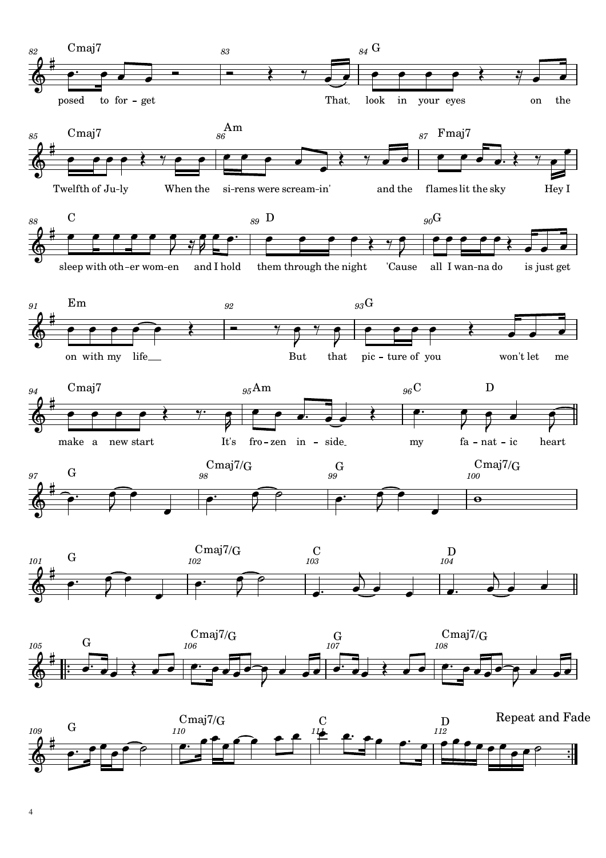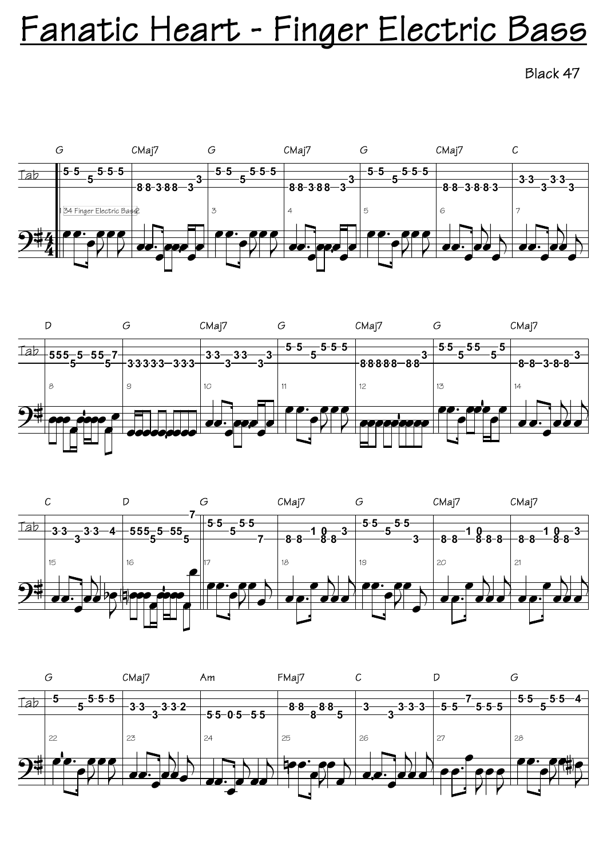# <u> Fanatic Heart - Finger Electric Bass</u>







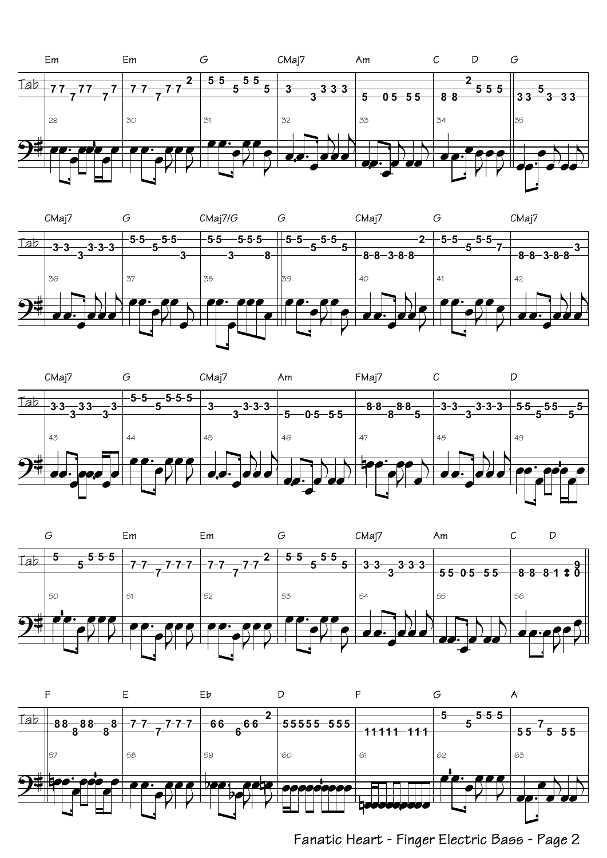









Fanatic Heart - Finger Electric Bass - Page 2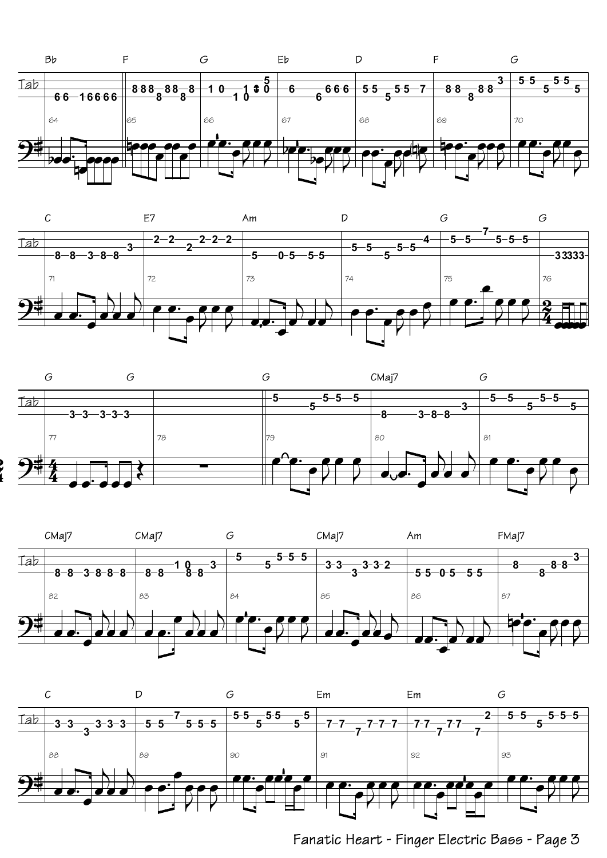









Fanatic Heart - Finger Electric Bass - Page 3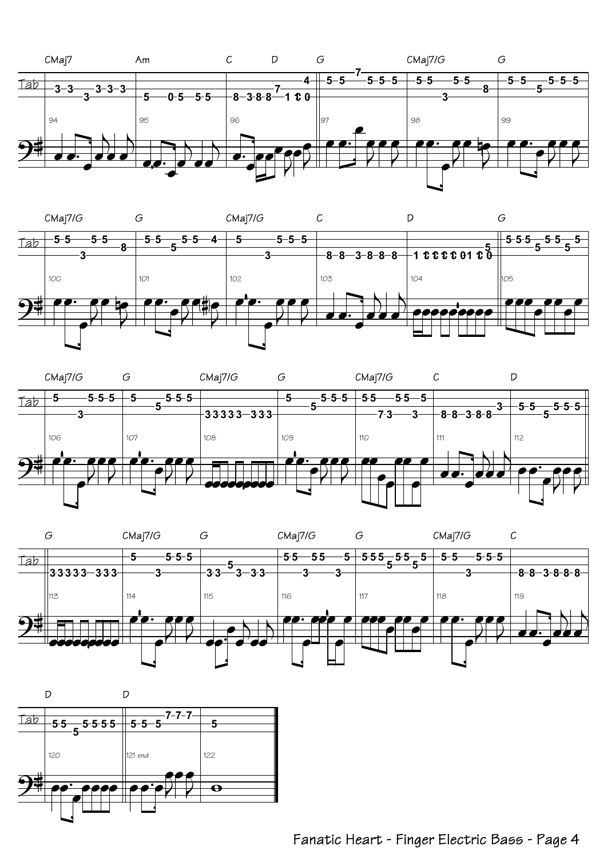







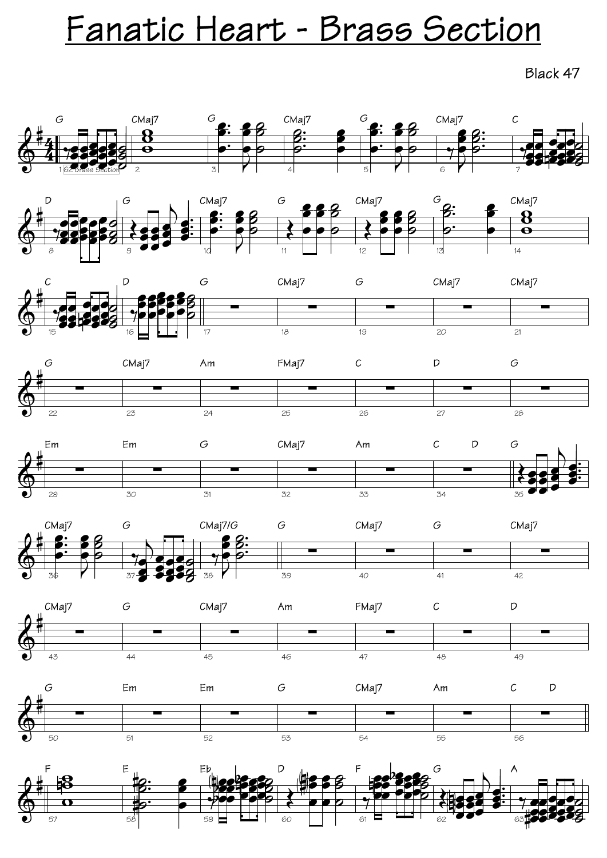## Fanatic Heart - Brass Section

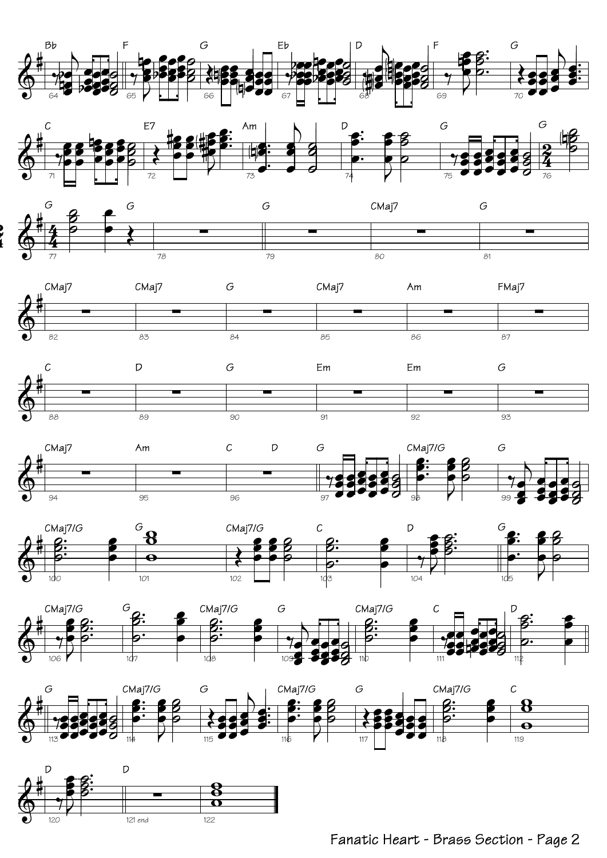

















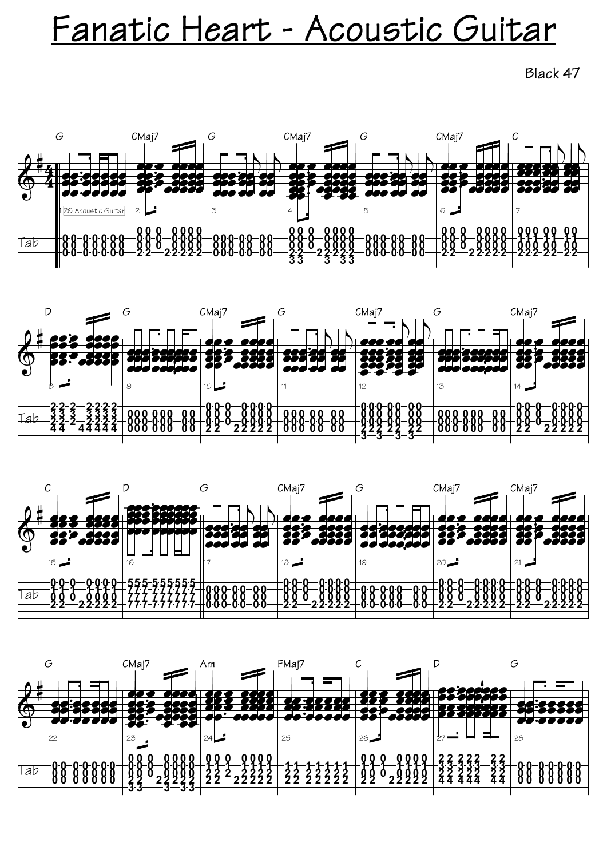## Fanatic Heart - Acoustic Guitar







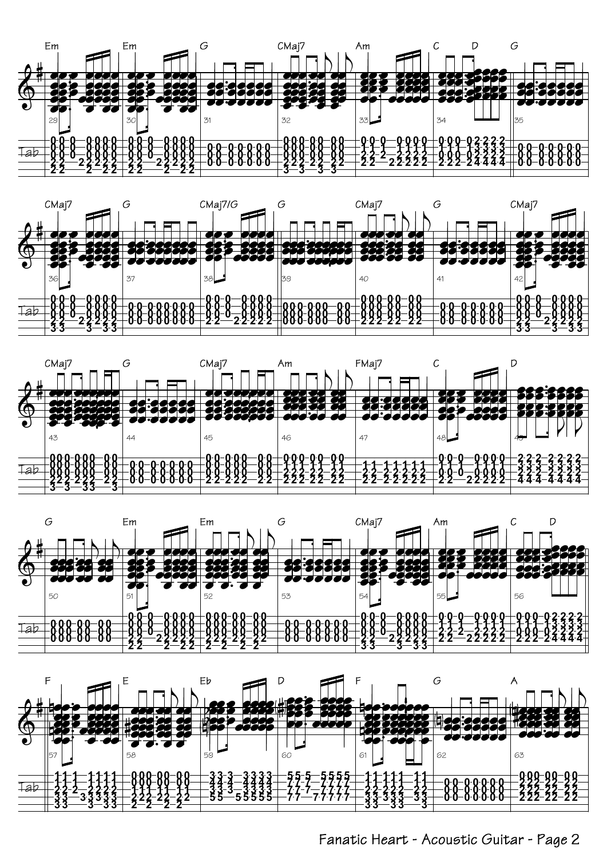









Fanatic Heart - Acoustic Guitar - Page 2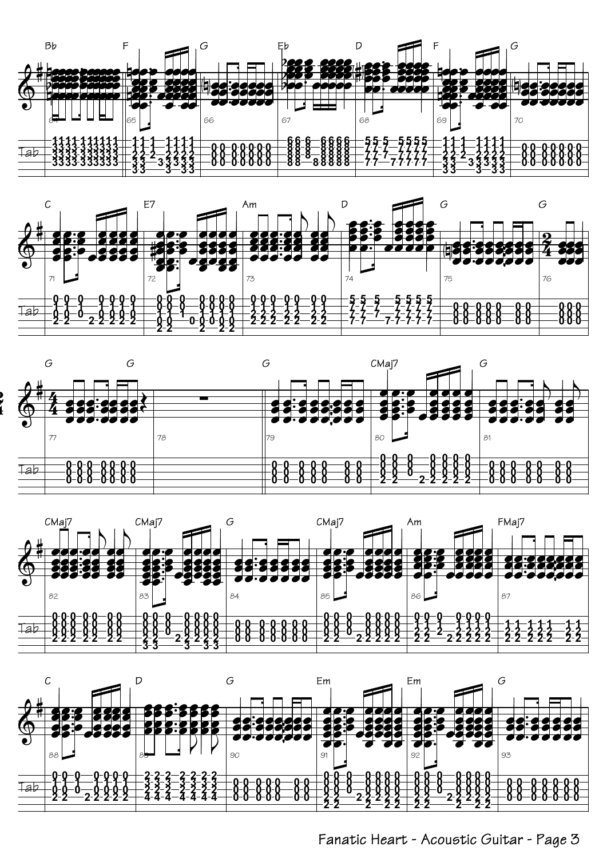









Fanatic Heart - Acoustic Guitar - Page 3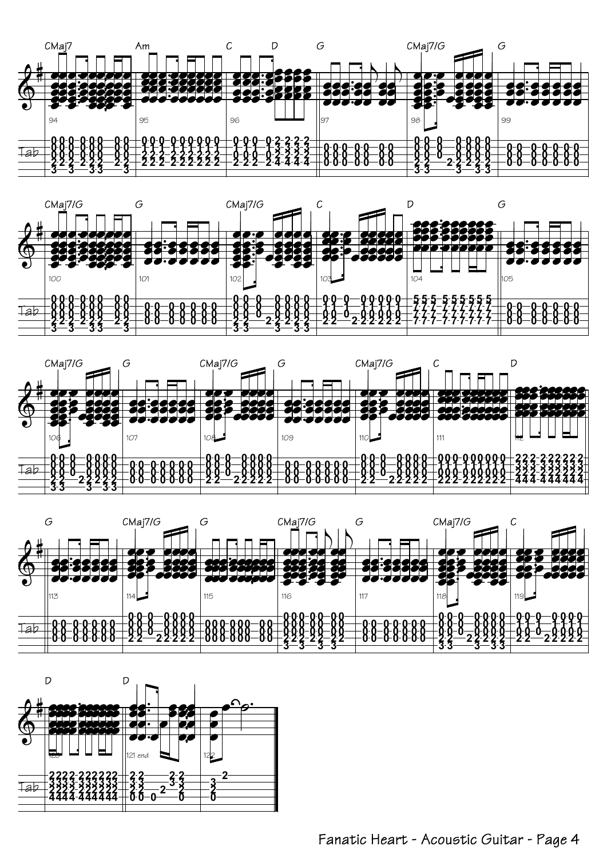







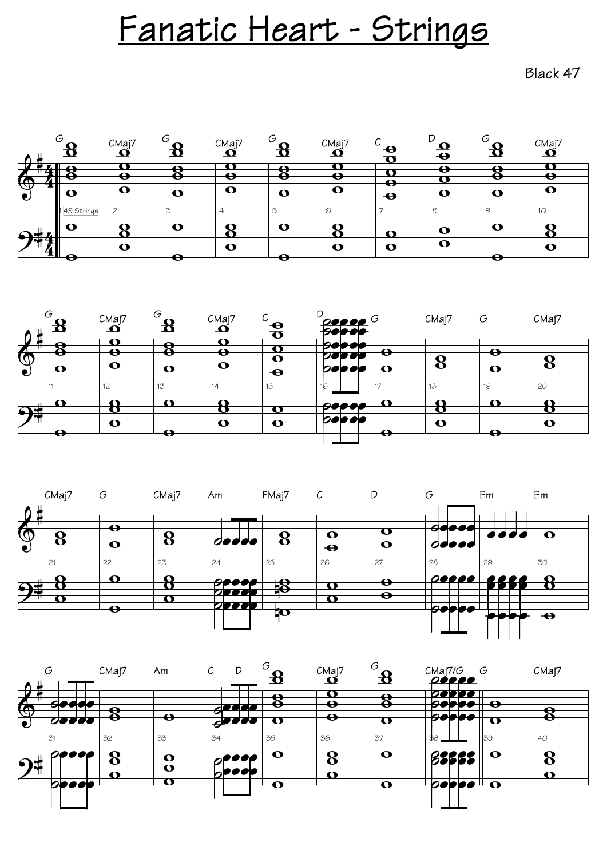#### Fanatic Heart - Strings







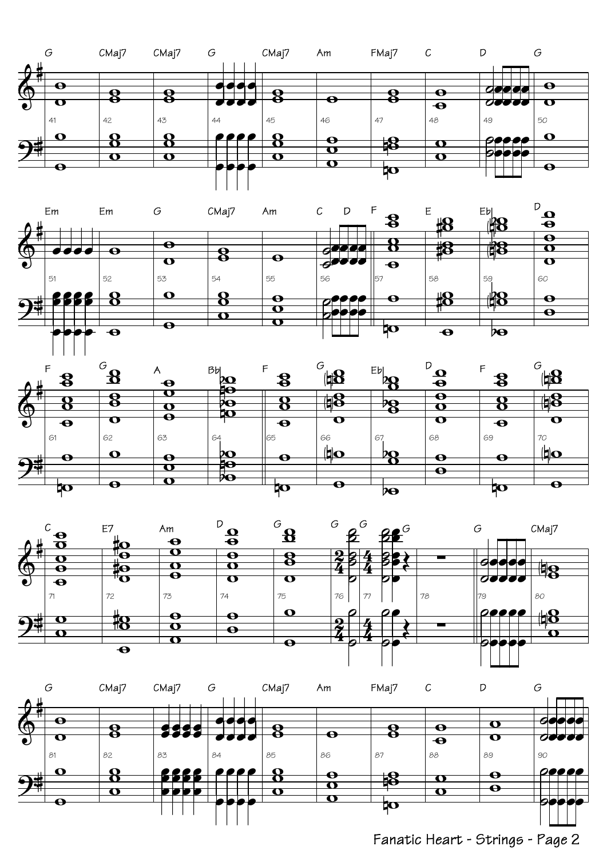





 $\overline{\mathbf{o}}$ 

 $\overline{\mathbf{e}}$ 

 $\overline{\mathbf{o}}$ 

 $\overline{a}$ 

 $\overline{\mathbf{e}}$ 

 $\frac{1}{\sqrt{2}}$ 

 $\overline{a}$ 

 $\mathbf \Theta$ 

 $\overline{\mathbf{O}}$ 



Fanatic Heart - Strings - Page 2